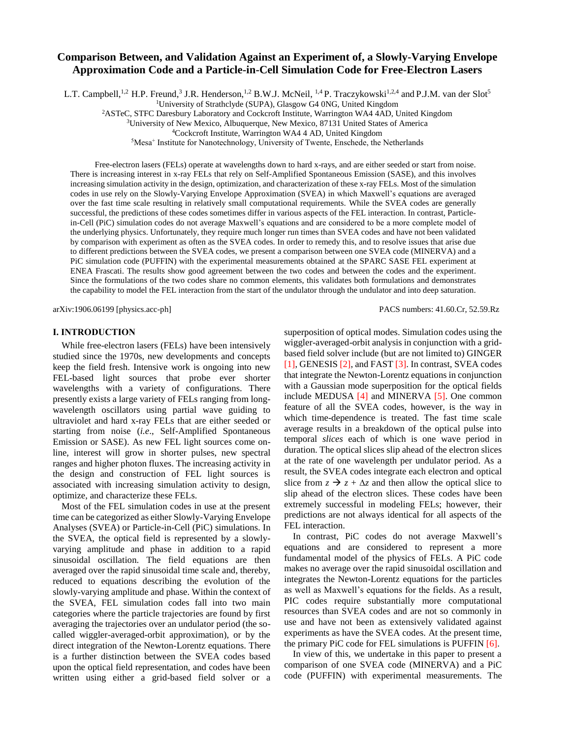# **Comparison Between, and Validation Against an Experiment of, a Slowly-Varying Envelope Approximation Code and a Particle-in-Cell Simulation Code for Free-Electron Lasers**

L.T. Campbell,<sup>1,2</sup> H.P. Freund,<sup>3</sup> J.R. Henderson,<sup>1,2</sup> B.W.J. McNeil, <sup>1,4</sup> P. Traczykowski<sup>1,2,4</sup> and P.J.M. van der Slot<sup>5</sup>

<sup>1</sup>University of Strathclyde (SUPA), Glasgow G4 0NG, United Kingdom

<sup>2</sup>ASTeC, STFC Daresbury Laboratory and Cockcroft Institute, Warrington WA4 4AD, United Kingdom

<sup>3</sup>University of New Mexico, Albuquerque, New Mexico, 87131 United States of America

<sup>4</sup>Cockcroft Institute, Warrington WA4 4 AD, United Kingdom

<sup>5</sup>Mesa<sup>+</sup> Institute for Nanotechnology, University of Twente, Enschede, the Netherlands

Free-electron lasers (FELs) operate at wavelengths down to hard x-rays, and are either seeded or start from noise. There is increasing interest in x-ray FELs that rely on Self-Amplified Spontaneous Emission (SASE), and this involves increasing simulation activity in the design, optimization, and characterization of these x-ray FELs. Most of the simulation codes in use rely on the Slowly-Varying Envelope Approximation (SVEA) in which Maxwell's equations are averaged over the fast time scale resulting in relatively small computational requirements. While the SVEA codes are generally successful, the predictions of these codes sometimes differ in various aspects of the FEL interaction. In contrast, Particlein-Cell (PiC) simulation codes do not average Maxwell's equations and are considered to be a more complete model of the underlying physics. Unfortunately, they require much longer run times than SVEA codes and have not been validated by comparison with experiment as often as the SVEA codes. In order to remedy this, and to resolve issues that arise due to different predictions between the SVEA codes, we present a comparison between one SVEA code (MINERVA) and a PiC simulation code (PUFFIN) with the experimental measurements obtained at the SPARC SASE FEL experiment at ENEA Frascati. The results show good agreement between the two codes and between the codes and the experiment. Since the formulations of the two codes share no common elements, this validates both formulations and demonstrates the capability to model the FEL interaction from the start of the undulator through the undulator and into deep saturation.

arXiv:1906.06199 [physics.acc-ph] PACS numbers: 41.60.Cr, 52.59.Rz

## **I. INTRODUCTION**

While free-electron lasers (FELs) have been intensively studied since the 1970s, new developments and concepts keep the field fresh. Intensive work is ongoing into new FEL-based light sources that probe ever shorter wavelengths with a variety of configurations. There presently exists a large variety of FELs ranging from longwavelength oscillators using partial wave guiding to ultraviolet and hard x-ray FELs that are either seeded or starting from noise (*i.e*., Self-Amplified Spontaneous Emission or SASE). As new FEL light sources come online, interest will grow in shorter pulses, new spectral ranges and higher photon fluxes. The increasing activity in the design and construction of FEL light sources is associated with increasing simulation activity to design, optimize, and characterize these FELs.

Most of the FEL simulation codes in use at the present time can be categorized as either Slowly-Varying Envelope Analyses (SVEA) or Particle-in-Cell (PiC) simulations. In the SVEA, the optical field is represented by a slowlyvarying amplitude and phase in addition to a rapid sinusoidal oscillation. The field equations are then averaged over the rapid sinusoidal time scale and, thereby, reduced to equations describing the evolution of the slowly-varying amplitude and phase. Within the context of the SVEA, FEL simulation codes fall into two main categories where the particle trajectories are found by first averaging the trajectories over an undulator period (the socalled wiggler-averaged-orbit approximation), or by the direct integration of the Newton-Lorentz equations. There is a further distinction between the SVEA codes based upon the optical field representation, and codes have been written using either a grid-based field solver or a superposition of optical modes. Simulation codes using the wiggler-averaged-orbit analysis in conjunction with a gridbased field solver include (but are not limited to) GINGER [1], GENESIS [2], and FAST [3]. In contrast, SVEA codes that integrate the Newton-Lorentz equations in conjunction with a Gaussian mode superposition for the optical fields include MEDUSA [4] and MINERVA [5]. One common feature of all the SVEA codes, however, is the way in which time-dependence is treated. The fast time scale average results in a breakdown of the optical pulse into temporal *slices* each of which is one wave period in duration. The optical slices slip ahead of the electron slices at the rate of one wavelength per undulator period. As a result, the SVEA codes integrate each electron and optical slice from  $z \rightarrow z + \Delta z$  and then allow the optical slice to slip ahead of the electron slices. These codes have been extremely successful in modeling FELs; however, their predictions are not always identical for all aspects of the FEL interaction.

In contrast, PiC codes do not average Maxwell's equations and are considered to represent a more fundamental model of the physics of FELs. A PiC code makes no average over the rapid sinusoidal oscillation and integrates the Newton-Lorentz equations for the particles as well as Maxwell's equations for the fields. As a result, PIC codes require substantially more computational resources than SVEA codes and are not so commonly in use and have not been as extensively validated against experiments as have the SVEA codes. At the present time, the primary PiC code for FEL simulations is PUFFIN [6].

In view of this, we undertake in this paper to present a comparison of one SVEA code (MINERVA) and a PiC code (PUFFIN) with experimental measurements. The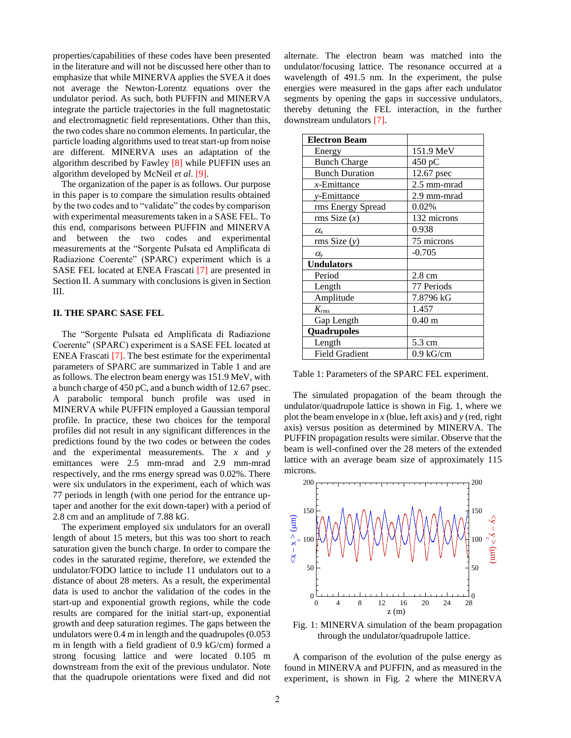properties/capabilities of these codes have been presented in the literature and will not be discussed here other than to emphasize that while MINERVA applies the SVEA it does not average the Newton-Lorentz equations over the undulator period. As such, both PUFFIN and MINERVA integrate the particle trajectories in the full magnetostatic and electromagnetic field representations. Other than this, the two codes share no common elements. In particular, the particle loading algorithms used to treat start-up from noise are different. MINERVA uses an adaptation of the algorithm described by Fawley [8] while PUFFIN uses an algorithm developed by McNeil *et al*. [9].

The organization of the paper is as follows. Our purpose in this paper is to compare the simulation results obtained by the two codes and to "validate" the codes by comparison with experimental measurements taken in a SASE FEL. To this end, comparisons between PUFFIN and MINERVA and between the two codes and experimental measurements at the "Sorgente Pulsata ed Amplificata di Radiazione Coerente" (SPARC) experiment which is a SASE FEL located at ENEA Frascati [7] are presented in Section II. A summary with conclusions is given in Section III.

#### **II. THE SPARC SASE FEL**

The "Sorgente Pulsata ed Amplificata di Radiazione Coerente" (SPARC) experiment is a SASE FEL located at ENEA Frascati [7]. The best estimate for the experimental parameters of SPARC are summarized in Table 1 and are as follows. The electron beam energy was 151.9 MeV, with a bunch charge of 450 pC, and a bunch width of 12.67 psec. A parabolic temporal bunch profile was used in MINERVA while PUFFIN employed a Gaussian temporal profile. In practice, these two choices for the temporal profiles did not result in any significant differences in the predictions found by the two codes or between the codes and the experimental measurements. The *x* and *y* emittances were 2.5 mm-mrad and 2.9 mm-mrad respectively, and the rms energy spread was 0.02%. There were six undulators in the experiment, each of which was 77 periods in length (with one period for the entrance uptaper and another for the exit down-taper) with a period of 2.8 cm and an amplitude of 7.88 kG.

The experiment employed six undulators for an overall length of about 15 meters, but this was too short to reach saturation given the bunch charge. In order to compare the codes in the saturated regime, therefore, we extended the undulator/FODO lattice to include 11 undulators out to a distance of about 28 meters. As a result, the experimental data is used to anchor the validation of the codes in the start-up and exponential growth regions, while the code results are compared for the initial start-up, exponential growth and deep saturation regimes. The gaps between the undulators were 0.4 m in length and the quadrupoles (0.053 m in length with a field gradient of 0.9 kG/cm) formed a strong focusing lattice and were located 0.105 m downstream from the exit of the previous undulator. Note that the quadrupole orientations were fixed and did not

alternate. The electron beam was matched into the undulator/focusing lattice. The resonance occurred at a wavelength of 491.5 nm. In the experiment, the pulse energies were measured in the gaps after each undulator segments by opening the gaps in successive undulators, thereby detuning the FEL interaction, in the further downstream undulators [7].

| <b>Electron Beam</b>  |                   |
|-----------------------|-------------------|
| Energy                | 151.9 MeV         |
| <b>Bunch Charge</b>   | 450 pC            |
| <b>Bunch Duration</b> | 12.67 psec        |
| $x$ -Emittance        | 2.5 mm-mrad       |
| y-Emittance           | 2.9 mm-mrad       |
| rms Energy Spread     | 0.02%             |
| rms Size $(x)$        | 132 microns       |
| $\alpha_{\rm r}$      | 0.938             |
| rms Size(y)           | 75 microns        |
| $\alpha_{\rm v}$      | $-0.705$          |
| <b>Undulators</b>     |                   |
| Period                | $2.8 \text{ cm}$  |
| Length                | 77 Periods        |
| Amplitude             | 7.8796 kG         |
| $K_{rms}$             | 1.457             |
| Gap Length            | 0.40 <sub>m</sub> |
| Quadrupoles           |                   |
| Length                | 5.3 cm            |
| <b>Field Gradient</b> | $0.9$ kG/cm       |

Table 1: Parameters of the SPARC FEL experiment.

The simulated propagation of the beam through the undulator/quadrupole lattice is shown in Fig. 1, where we plot the beam envelope in *x* (blue, left axis) and *y* (red, right axis) versus position as determined by MINERVA. The PUFFIN propagation results were similar. Observe that the beam is well-confined over the 28 meters of the extended lattice with an average beam size of approximately 115 microns.



Fig. 1: MINERVA simulation of the beam propagation through the undulator/quadrupole lattice.

A comparison of the evolution of the pulse energy as found in MINERVA and PUFFIN, and as measured in the experiment, is shown in Fig. 2 where the MINERVA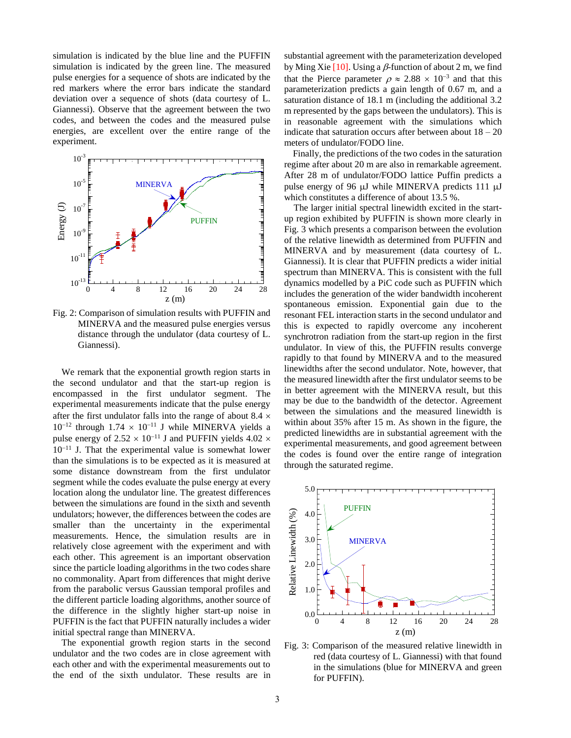simulation is indicated by the blue line and the PUFFIN simulation is indicated by the green line. The measured pulse energies for a sequence of shots are indicated by the red markers where the error bars indicate the standard deviation over a sequence of shots (data courtesy of L. Giannessi). Observe that the agreement between the two codes, and between the codes and the measured pulse energies, are excellent over the entire range of the experiment.



Fig. 2: Comparison of simulation results with PUFFIN and MINERVA and the measured pulse energies versus distance through the undulator (data courtesy of L. Giannessi).

We remark that the exponential growth region starts in the second undulator and that the start-up region is encompassed in the first undulator segment. The experimental measurements indicate that the pulse energy after the first undulator falls into the range of about 8.4  $\times$  $10^{-12}$  through  $1.74 \times 10^{-11}$  J while MINERVA yields a pulse energy of 2.52  $\times$  10<sup>−11</sup> J and PUFFIN yields 4.02  $\times$ 10<sup>−</sup><sup>11</sup> J. That the experimental value is somewhat lower than the simulations is to be expected as it is measured at some distance downstream from the first undulator segment while the codes evaluate the pulse energy at every location along the undulator line. The greatest differences between the simulations are found in the sixth and seventh undulators; however, the differences between the codes are smaller than the uncertainty in the experimental measurements. Hence, the simulation results are in relatively close agreement with the experiment and with each other. This agreement is an important observation since the particle loading algorithms in the two codes share no commonality. Apart from differences that might derive from the parabolic versus Gaussian temporal profiles and the different particle loading algorithms, another source of the difference in the slightly higher start-up noise in PUFFIN is the fact that PUFFIN naturally includes a wider initial spectral range than MINERVA.

The exponential growth region starts in the second undulator and the two codes are in close agreement with each other and with the experimental measurements out to the end of the sixth undulator. These results are in

substantial agreement with the parameterization developed by Ming Xie  $[10]$ . Using a  $\beta$ -function of about 2 m, we find that the Pierce parameter  $\rho \approx 2.88 \times 10^{-3}$  and that this parameterization predicts a gain length of 0.67 m, and a saturation distance of 18.1 m (including the additional 3.2 m represented by the gaps between the undulators). This is in reasonable agreement with the simulations which indicate that saturation occurs after between about  $18 - 20$ meters of undulator/FODO line.

Finally, the predictions of the two codes in the saturation regime after about 20 m are also in remarkable agreement. After 28 m of undulator/FODO lattice Puffin predicts a pulse energy of 96  $\mu$ J while MINERVA predicts 111  $\mu$ J which constitutes a difference of about 13.5 %.

The larger initial spectral linewidth excited in the startup region exhibited by PUFFIN is shown more clearly in Fig. 3 which presents a comparison between the evolution of the relative linewidth as determined from PUFFIN and MINERVA and by measurement (data courtesy of L. Giannessi). It is clear that PUFFIN predicts a wider initial spectrum than MINERVA. This is consistent with the full dynamics modelled by a PiC code such as PUFFIN which includes the generation of the wider bandwidth incoherent spontaneous emission. Exponential gain due to the resonant FEL interaction starts in the second undulator and this is expected to rapidly overcome any incoherent synchrotron radiation from the start-up region in the first undulator. In view of this, the PUFFIN results converge rapidly to that found by MINERVA and to the measured linewidths after the second undulator. Note, however, that the measured linewidth after the first undulator seems to be in better agreement with the MINERVA result, but this may be due to the bandwidth of the detector. Agreement between the simulations and the measured linewidth is within about 35% after 15 m. As shown in the figure, the predicted linewidths are in substantial agreement with the experimental measurements, and good agreement between the codes is found over the entire range of integration through the saturated regime.



Fig. 3: Comparison of the measured relative linewidth in red (data courtesy of L. Giannessi) with that found in the simulations (blue for MINERVA and green for PUFFIN).